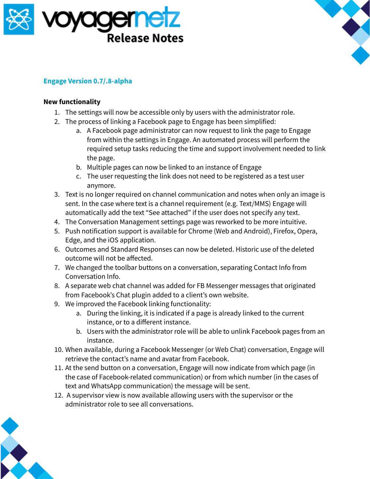



## **Engage Version 0.7/.8-alpha**

## **New functionality**

- 1. The settings will now be accessible only by users with the administrator role.
- 2. The process of linking a Facebook page to Engage has been simplified:
	- a. A Facebook page administrator can now request to link the page to Engage from within the settings in Engage. An automated process will perform the required setup tasks reducing the time and support involvement needed to link the page.
	- b. Multiple pages can now be linked to an instance of Engage
	- c. The user requesting the link does not need to be registered as a test user anymore.
- 3. Text is no longer required on channel communication and notes when only an image is sent. In the case where text is a channel requirement (e.g. Text/MMS) Engage will automatically add the text "See attached" if the user does not specify any text.
- 4. The Conversation Management settings page was reworked to be more intuitive.
- 5. Push notification support is available for Chrome (Web and Android), Firefox, Opera, Edge, and the iOS application.
- 6. Outcomes and Standard Responses can now be deleted. Historic use of the deleted outcome will not be affected.
- 7. We changed the toolbar buttons on a conversation, separating Contact Info from Conversation Info.
- 8. A separate web chat channel was added for FB Messenger messages that originated from Facebook's Chat plugin added to a client's own website.
- 9. We improved the Facebook linking functionality:
	- a. During the linking, it is indicated if a page is already linked to the current instance, or to a different instance.
	- b. Users with the administrator role will be able to unlink Facebook pages from an instance.
- 10. When available, during a Facebook Messenger (or Web Chat) conversation, Engage will retrieve the contact's name and avatar from Facebook.
- 11. At the send button on a conversation, Engage will now indicate from which page (in the case of Facebook-related communication) or from which number (in the cases of text and WhatsApp communication) the message will be sent.
- 12. A supervisor view is now available allowing users with the supervisor or the administrator role to see all conversations.